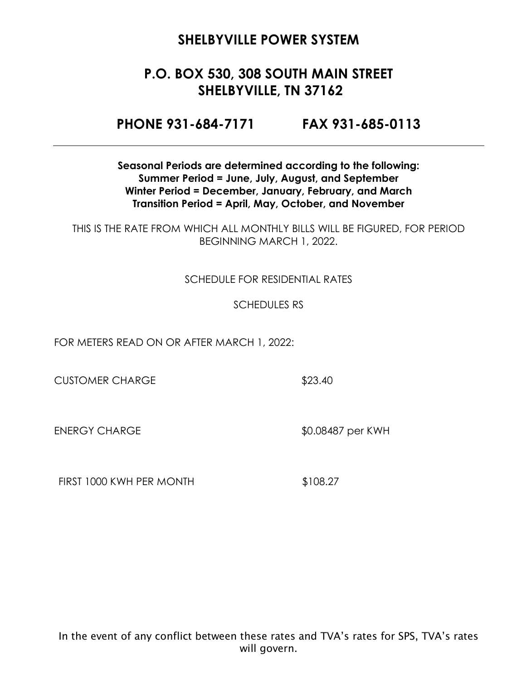# **P.O. BOX 530, 308 SOUTH MAIN STREET SHELBYVILLE, TN 37162**

**PHONE 931-684-7171 FAX 931-685-0113**

**Seasonal Periods are determined according to the following: Summer Period = June, July, August, and September Winter Period = December, January, February, and March Transition Period = April, May, October, and November**

THIS IS THE RATE FROM WHICH ALL MONTHLY BILLS WILL BE FIGURED, FOR PERIOD BEGINNING MARCH 1, 2022.

#### SCHEDULE FOR RESIDENTIAL RATES

#### SCHEDULES RS

FOR METERS READ ON OR AFTER MARCH 1, 2022:

CUSTOMER CHARGE \$23.40

ENERGY CHARGE \$0.08487 per KWH

FIRST 1000 KWH PER MONTH \$108.27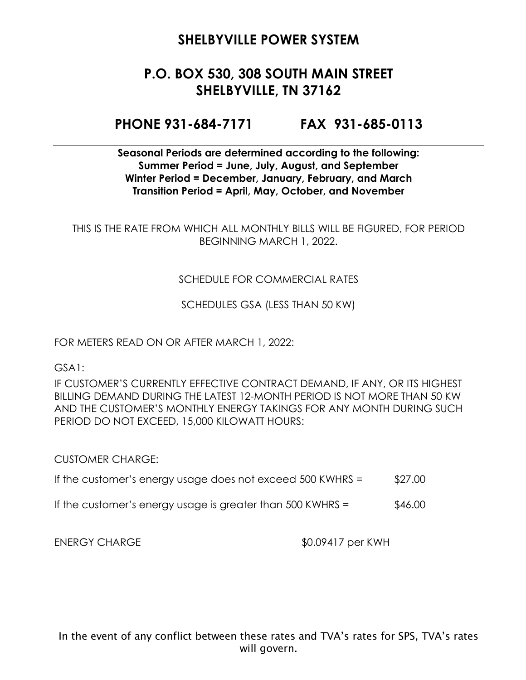# **P.O. BOX 530, 308 SOUTH MAIN STREET SHELBYVILLE, TN 37162**

### **PHONE 931-684-7171 FAX 931-685-0113**

**Seasonal Periods are determined according to the following: Summer Period = June, July, August, and September Winter Period = December, January, February, and March Transition Period = April, May, October, and November**

THIS IS THE RATE FROM WHICH ALL MONTHLY BILLS WILL BE FIGURED, FOR PERIOD BEGINNING MARCH 1, 2022.

#### SCHEDULE FOR COMMERCIAL RATES

SCHEDULES GSA (LESS THAN 50 KW)

FOR METERS READ ON OR AFTER MARCH 1, 2022:

GSA1:

IF CUSTOMER'S CURRENTLY EFFECTIVE CONTRACT DEMAND, IF ANY, OR ITS HIGHEST BILLING DEMAND DURING THE LATEST 12-MONTH PERIOD IS NOT MORE THAN 50 KW AND THE CUSTOMER'S MONTHLY ENERGY TAKINGS FOR ANY MONTH DURING SUCH PERIOD DO NOT EXCEED, 15,000 KILOWATT HOURS:

CUSTOMER CHARGE:

- If the customer's energy usage does not exceed  $500$  KWHRS =  $$27.00$
- If the customer's energy usage is greater than  $500$  KWHRS =  $$46.00$

ENERGY CHARGE  $$0.09417$  per KWH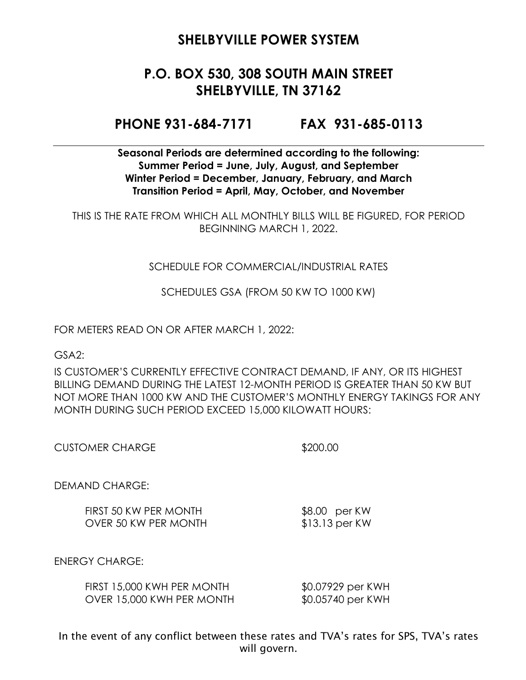# **P.O. BOX 530, 308 SOUTH MAIN STREET SHELBYVILLE, TN 37162**

### **PHONE 931-684-7171 FAX 931-685-0113**

**Seasonal Periods are determined according to the following: Summer Period = June, July, August, and September Winter Period = December, January, February, and March Transition Period = April, May, October, and November**

THIS IS THE RATE FROM WHICH ALL MONTHLY BILLS WILL BE FIGURED, FOR PERIOD BEGINNING MARCH 1, 2022.

#### SCHEDULE FOR COMMERCIAL/INDUSTRIAL RATES

SCHEDULES GSA (FROM 50 KW TO 1000 KW)

FOR METERS READ ON OR AFTER MARCH 1, 2022:

GSA2:

IS CUSTOMER'S CURRENTLY EFFECTIVE CONTRACT DEMAND, IF ANY, OR ITS HIGHEST BILLING DEMAND DURING THE LATEST 12-MONTH PERIOD IS GREATER THAN 50 KW BUT NOT MORE THAN 1000 KW AND THE CUSTOMER'S MONTHLY ENERGY TAKINGS FOR ANY MONTH DURING SUCH PERIOD EXCEED 15,000 KILOWATT HOURS:

\$200.00

DEMAND CHARGE:

FIRST 50 KW PER MONTH \$8.00 per KW OVER 50 KW PER MONTH \$13.13 per KW

ENERGY CHARGE:

| FIRST 15,000 KWH PER MONTH | \$0.07929 per KWH |
|----------------------------|-------------------|
| OVER 15,000 KWH PER MONTH  | \$0.05740 per KWH |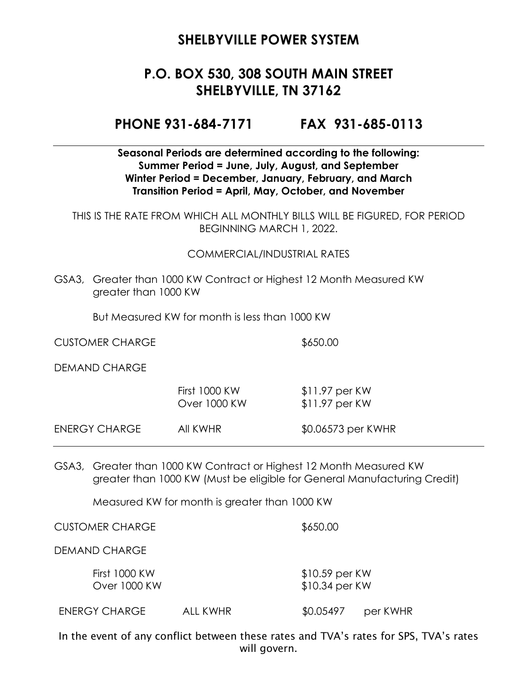# **P.O. BOX 530, 308 SOUTH MAIN STREET SHELBYVILLE, TN 37162**

### **PHONE 931-684-7171 FAX 931-685-0113**

#### **Seasonal Periods are determined according to the following: Summer Period = June, July, August, and September Winter Period = December, January, February, and March Transition Period = April, May, October, and November**

THIS IS THE RATE FROM WHICH ALL MONTHLY BILLS WILL BE FIGURED, FOR PERIOD BEGINNING MARCH 1, 2022.

#### COMMERCIAL/INDUSTRIAL RATES

GSA3, Greater than 1000 KW Contract or Highest 12 Month Measured KW greater than 1000 KW

But Measured KW for month is less than 1000 KW

CUSTOMER CHARGE \$650.00

DEMAND CHARGE

|               | First 1000 KW<br>Over 1000 KW | $$11.97$ per KW<br>$$11.97$ per KW |
|---------------|-------------------------------|------------------------------------|
| ENERGY CHARGE | AII KWHR                      | \$0.06573 per KWHR                 |

GSA3, Greater than 1000 KW Contract or Highest 12 Month Measured KW greater than 1000 KW (Must be eligible for General Manufacturing Credit)

Measured KW for month is greater than 1000 KW

CUSTOMER CHARGE \$650.00

DEMAND CHARGE

First 1000 KW \$10.59 per KW Over 1000 KW \$10.34 per KW

ENERGY CHARGE ALL KWHR \$0.05497 per KWHR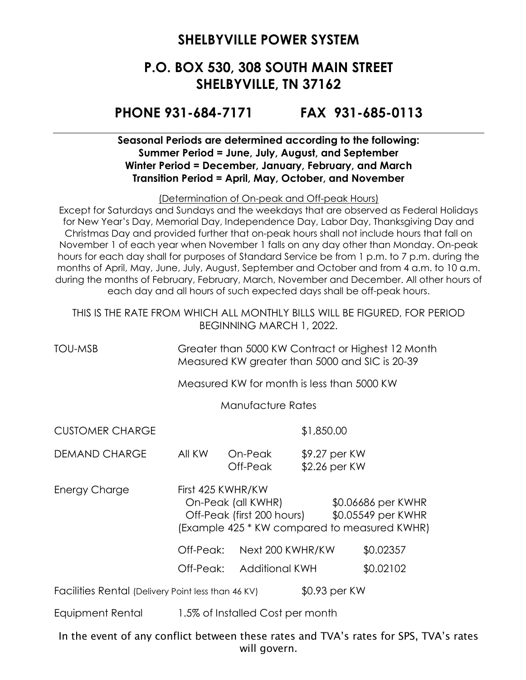# **P.O. BOX 530, 308 SOUTH MAIN STREET SHELBYVILLE, TN 37162**

### **PHONE 931-684-7171 FAX 931-685-0113**

#### **Seasonal Periods are determined according to the following: Summer Period = June, July, August, and September Winter Period = December, January, February, and March Transition Period = April, May, October, and November**

(Determination of On-peak and Off-peak Hours)

Except for Saturdays and Sundays and the weekdays that are observed as Federal Holidays for New Year's Day, Memorial Day, Independence Day, Labor Day, Thanksgiving Day and Christmas Day and provided further that on-peak hours shall not include hours that fall on November 1 of each year when November 1 falls on any day other than Monday. On-peak hours for each day shall for purposes of Standard Service be from 1 p.m. to 7 p.m. during the months of April, May, June, July, August, September and October and from 4 a.m. to 10 a.m. during the months of February, February, March, November and December. All other hours of each day and all hours of such expected days shall be off-peak hours.

THIS IS THE RATE FROM WHICH ALL MONTHLY BILLS WILL BE FIGURED, FOR PERIOD BEGINNING MARCH 1, 2022.

TOU-MSB Greater than 5000 KW Contract or Highest 12 Month Measured KW greater than 5000 and SIC is 20-39

Measured KW for month is less than 5000 KW

Manufacture Rates

CUSTOMER CHARGE \$1,850.00

DEMAND CHARGE All KW On-Peak \$9.27 per KW Off-Peak \$2.26 per KW

Energy Charge First 425 KWHR/KW On-Peak (all KWHR) \$0.06686 per KWHR Off-Peak (first 200 hours) \$0.05549 per KWHR (Example 425 \* KW compared to measured KWHR)

Off-Peak: Next 200 KWHR/KW \$0.02357

Off-Peak: Additional KWH \$0.02102

Facilities Rental (Delivery Point less than 46 KV) \$0.93 per KW

Equipment Rental 1.5% of Installed Cost per month